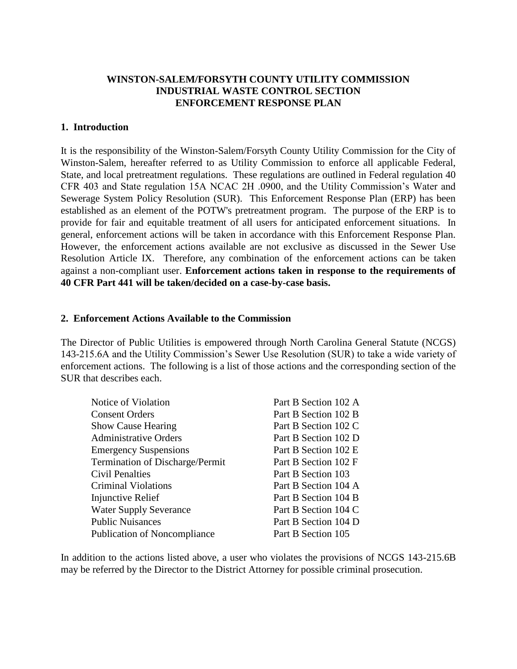#### **WINSTON-SALEM/FORSYTH COUNTY UTILITY COMMISSION INDUSTRIAL WASTE CONTROL SECTION ENFORCEMENT RESPONSE PLAN**

#### **1. Introduction**

It is the responsibility of the Winston-Salem/Forsyth County Utility Commission for the City of Winston-Salem, hereafter referred to as Utility Commission to enforce all applicable Federal, State, and local pretreatment regulations. These regulations are outlined in Federal regulation 40 CFR 403 and State regulation 15A NCAC 2H .0900, and the Utility Commission's Water and Sewerage System Policy Resolution (SUR). This Enforcement Response Plan (ERP) has been established as an element of the POTW's pretreatment program. The purpose of the ERP is to provide for fair and equitable treatment of all users for anticipated enforcement situations. In general, enforcement actions will be taken in accordance with this Enforcement Response Plan. However, the enforcement actions available are not exclusive as discussed in the Sewer Use Resolution Article IX. Therefore, any combination of the enforcement actions can be taken against a non-compliant user. **Enforcement actions taken in response to the requirements of 40 CFR Part 441 will be taken/decided on a case-by-case basis.** 

#### **2. Enforcement Actions Available to the Commission**

The Director of Public Utilities is empowered through North Carolina General Statute (NCGS) 143-215.6A and the Utility Commission's Sewer Use Resolution (SUR) to take a wide variety of enforcement actions. The following is a list of those actions and the corresponding section of the SUR that describes each.

| Part B Section 102 A |
|----------------------|
| Part B Section 102 B |
| Part B Section 102 C |
| Part B Section 102 D |
| Part B Section 102 E |
| Part B Section 102 F |
| Part B Section 103   |
| Part B Section 104 A |
| Part B Section 104 B |
| Part B Section 104 C |
| Part B Section 104 D |
| Part B Section 105   |
|                      |

In addition to the actions listed above, a user who violates the provisions of NCGS 143-215.6B may be referred by the Director to the District Attorney for possible criminal prosecution.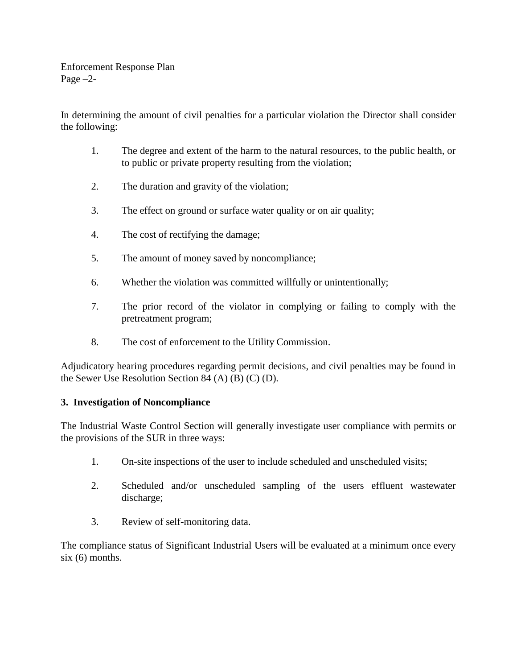Enforcement Response Plan Page –2-

In determining the amount of civil penalties for a particular violation the Director shall consider the following:

- 1. The degree and extent of the harm to the natural resources, to the public health, or to public or private property resulting from the violation;
- 2. The duration and gravity of the violation;
- 3. The effect on ground or surface water quality or on air quality;
- 4. The cost of rectifying the damage;
- 5. The amount of money saved by noncompliance;
- 6. Whether the violation was committed willfully or unintentionally;
- 7. The prior record of the violator in complying or failing to comply with the pretreatment program;
- 8. The cost of enforcement to the Utility Commission.

Adjudicatory hearing procedures regarding permit decisions, and civil penalties may be found in the Sewer Use Resolution Section 84 (A) (B) (C) (D).

#### **3. Investigation of Noncompliance**

The Industrial Waste Control Section will generally investigate user compliance with permits or the provisions of the SUR in three ways:

- 1. On-site inspections of the user to include scheduled and unscheduled visits;
- 2. Scheduled and/or unscheduled sampling of the users effluent wastewater discharge;
- 3. Review of self-monitoring data.

The compliance status of Significant Industrial Users will be evaluated at a minimum once every six (6) months.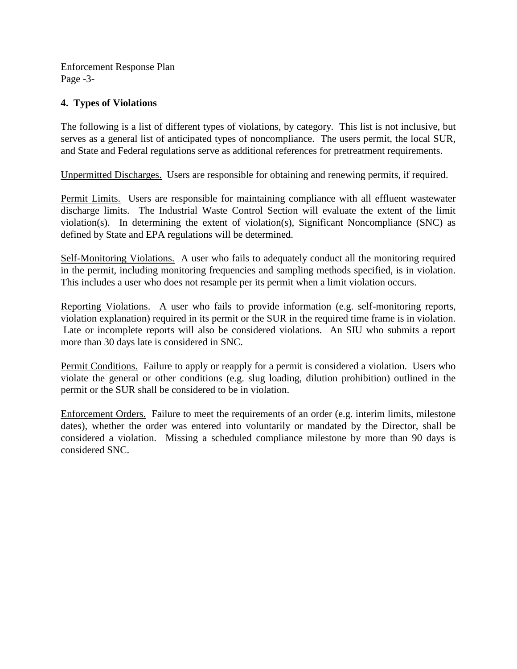Enforcement Response Plan Page -3-

#### **4. Types of Violations**

The following is a list of different types of violations, by category. This list is not inclusive, but serves as a general list of anticipated types of noncompliance. The users permit, the local SUR, and State and Federal regulations serve as additional references for pretreatment requirements.

Unpermitted Discharges. Users are responsible for obtaining and renewing permits, if required.

Permit Limits. Users are responsible for maintaining compliance with all effluent wastewater discharge limits. The Industrial Waste Control Section will evaluate the extent of the limit violation(s). In determining the extent of violation(s), Significant Noncompliance (SNC) as defined by State and EPA regulations will be determined.

Self-Monitoring Violations. A user who fails to adequately conduct all the monitoring required in the permit, including monitoring frequencies and sampling methods specified, is in violation. This includes a user who does not resample per its permit when a limit violation occurs.

Reporting Violations. A user who fails to provide information (e.g. self-monitoring reports, violation explanation) required in its permit or the SUR in the required time frame is in violation. Late or incomplete reports will also be considered violations. An SIU who submits a report more than 30 days late is considered in SNC.

Permit Conditions. Failure to apply or reapply for a permit is considered a violation. Users who violate the general or other conditions (e.g. slug loading, dilution prohibition) outlined in the permit or the SUR shall be considered to be in violation.

Enforcement Orders. Failure to meet the requirements of an order (e.g. interim limits, milestone dates), whether the order was entered into voluntarily or mandated by the Director, shall be considered a violation. Missing a scheduled compliance milestone by more than 90 days is considered SNC.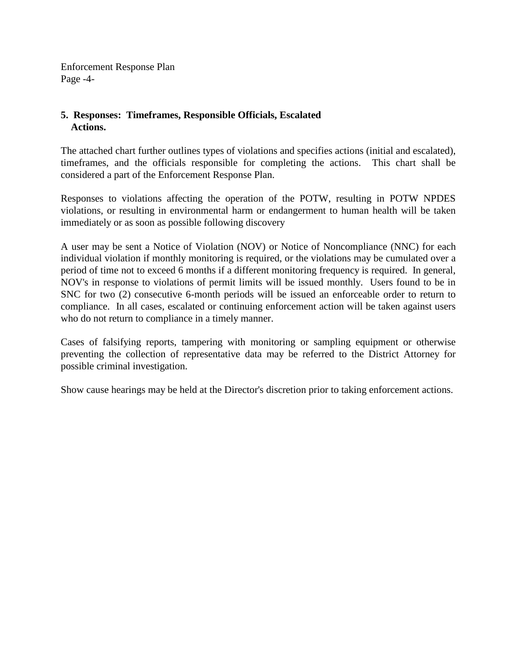Enforcement Response Plan Page -4-

#### **5. Responses: Timeframes, Responsible Officials, Escalated Actions.**

The attached chart further outlines types of violations and specifies actions (initial and escalated), timeframes, and the officials responsible for completing the actions. This chart shall be considered a part of the Enforcement Response Plan.

Responses to violations affecting the operation of the POTW, resulting in POTW NPDES violations, or resulting in environmental harm or endangerment to human health will be taken immediately or as soon as possible following discovery

A user may be sent a Notice of Violation (NOV) or Notice of Noncompliance (NNC) for each individual violation if monthly monitoring is required, or the violations may be cumulated over a period of time not to exceed 6 months if a different monitoring frequency is required. In general, NOV's in response to violations of permit limits will be issued monthly. Users found to be in SNC for two (2) consecutive 6-month periods will be issued an enforceable order to return to compliance. In all cases, escalated or continuing enforcement action will be taken against users who do not return to compliance in a timely manner.

Cases of falsifying reports, tampering with monitoring or sampling equipment or otherwise preventing the collection of representative data may be referred to the District Attorney for possible criminal investigation.

Show cause hearings may be held at the Director's discretion prior to taking enforcement actions.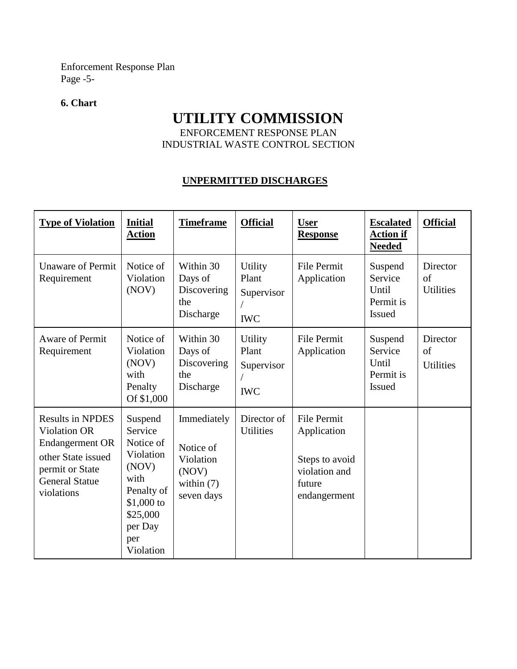Enforcement Response Plan Page -5-

#### **6. Chart**

# **UTILITY COMMISSION**

ENFORCEMENT RESPONSE PLAN INDUSTRIAL WASTE CONTROL SECTION

### **UNPERMITTED DISCHARGES**

| <b>Type of Violation</b>                                                                                                                                 | <b>Initial</b><br><b>Action</b>                                                                                                       | <b>Timeframe</b>                                                             | <b>Official</b>                                     | <b>User</b><br><b>Response</b>                                                                 | <b>Escalated</b><br><b>Action if</b><br><b>Needed</b>     | <b>Official</b>                    |
|----------------------------------------------------------------------------------------------------------------------------------------------------------|---------------------------------------------------------------------------------------------------------------------------------------|------------------------------------------------------------------------------|-----------------------------------------------------|------------------------------------------------------------------------------------------------|-----------------------------------------------------------|------------------------------------|
| <b>Unaware of Permit</b><br>Requirement                                                                                                                  | Notice of<br>Violation<br>(NOV)                                                                                                       | Within 30<br>Days of<br>Discovering<br>the<br>Discharge                      | Utility<br>Plant<br>Supervisor<br><b>IWC</b>        | File Permit<br>Application                                                                     | Suspend<br>Service<br>Until<br>Permit is<br><b>Issued</b> | Director<br>of<br><b>Utilities</b> |
| <b>Aware of Permit</b><br>Requirement                                                                                                                    | Notice of<br>Violation<br>(NOV)<br>with<br>Penalty<br>Of \$1,000                                                                      | Within 30<br>Days of<br>Discovering<br>the<br>Discharge                      | <b>Utility</b><br>Plant<br>Supervisor<br><b>IWC</b> | File Permit<br>Application                                                                     | Suspend<br>Service<br>Until<br>Permit is<br><b>Issued</b> | Director<br>of<br><b>Utilities</b> |
| <b>Results in NPDES</b><br><b>Violation OR</b><br><b>Endangerment OR</b><br>other State issued<br>permit or State<br><b>General Statue</b><br>violations | Suspend<br>Service<br>Notice of<br>Violation<br>(NOV)<br>with<br>Penalty of<br>$$1,000$ to<br>\$25,000<br>per Day<br>per<br>Violation | Immediately<br>Notice of<br>Violation<br>(NOV)<br>within $(7)$<br>seven days | Director of<br><b>Utilities</b>                     | <b>File Permit</b><br>Application<br>Steps to avoid<br>violation and<br>future<br>endangerment |                                                           |                                    |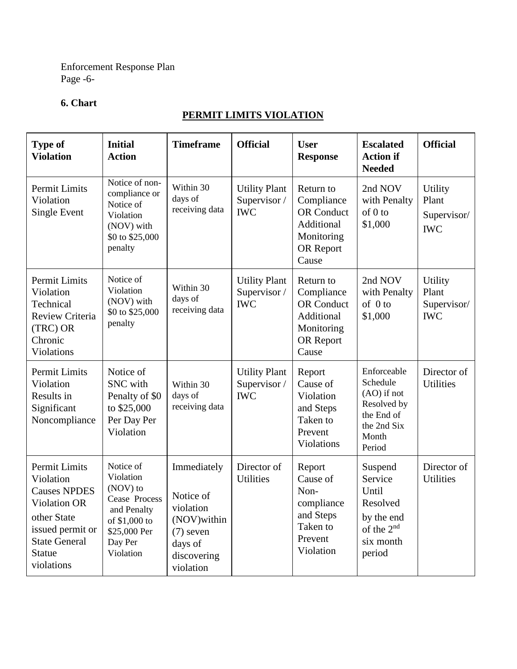Enforcement Response Plan Page -6-

# **6. Chart**

# **PERMIT LIMITS VIOLATION**

| <b>Type of</b><br><b>Violation</b>                                                                                                                                        | <b>Initial</b><br><b>Action</b>                                                                                             | <b>Timeframe</b>                                                                                            | <b>Official</b>                                    | <b>User</b><br><b>Response</b>                                                                 | <b>Escalated</b><br><b>Action if</b><br><b>Needed</b>                                                   | <b>Official</b>                               |
|---------------------------------------------------------------------------------------------------------------------------------------------------------------------------|-----------------------------------------------------------------------------------------------------------------------------|-------------------------------------------------------------------------------------------------------------|----------------------------------------------------|------------------------------------------------------------------------------------------------|---------------------------------------------------------------------------------------------------------|-----------------------------------------------|
| Permit Limits<br>Violation<br><b>Single Event</b>                                                                                                                         | Notice of non-<br>compliance or<br>Notice of<br>Violation<br>(NOV) with<br>\$0 to \$25,000<br>penalty                       | Within 30<br>days of<br>receiving data                                                                      | <b>Utility Plant</b><br>Supervisor /<br><b>IWC</b> | Return to<br>Compliance<br><b>OR</b> Conduct<br>Additional<br>Monitoring<br>OR Report<br>Cause | 2nd NOV<br>with Penalty<br>of 0 to<br>\$1,000                                                           | Utility<br>Plant<br>Supervisor/<br><b>IWC</b> |
| Permit Limits<br>Violation<br>Technical<br>Review Criteria<br>(TRC) OR<br>Chronic<br>Violations                                                                           | Notice of<br>Violation<br>(NOV) with<br>\$0 to \$25,000<br>penalty                                                          | Within 30<br>days of<br>receiving data                                                                      | <b>Utility Plant</b><br>Supervisor /<br><b>IWC</b> | Return to<br>Compliance<br><b>OR</b> Conduct<br>Additional<br>Monitoring<br>OR Report<br>Cause | 2nd NOV<br>with Penalty<br>of $0$ to<br>\$1,000                                                         | Utility<br>Plant<br>Supervisor/<br><b>IWC</b> |
| Permit Limits<br>Violation<br>Results in<br>Significant<br>Noncompliance                                                                                                  | Notice of<br>SNC with<br>Penalty of \$0<br>to \$25,000<br>Per Day Per<br>Violation                                          | Within 30<br>days of<br>receiving data                                                                      | <b>Utility Plant</b><br>Supervisor /<br><b>IWC</b> | Report<br>Cause of<br>Violation<br>and Steps<br>Taken to<br>Prevent<br>Violations              | Enforceable<br>Schedule<br>$(AO)$ if not<br>Resolved by<br>the End of<br>the 2nd Six<br>Month<br>Period | Director of<br><b>Utilities</b>               |
| <b>Permit Limits</b><br>Violation<br><b>Causes NPDES</b><br><b>Violation OR</b><br>other State<br>issued permit or<br><b>State General</b><br><b>Statue</b><br>violations | Notice of<br>Violation<br>(NOV) to<br>Cease Process<br>and Penalty<br>of \$1,000 to<br>\$25,000 Per<br>Day Per<br>Violation | Immediately<br>Notice of<br>violation<br>(NOV) within<br>$(7)$ seven<br>days of<br>discovering<br>violation | Director of<br><b>Utilities</b>                    | Report<br>Cause of<br>Non-<br>compliance<br>and Steps<br>Taken to<br>Prevent<br>Violation      | Suspend<br>Service<br>Until<br>Resolved<br>by the end<br>of the 2 <sup>nd</sup><br>six month<br>period  | Director of<br><b>Utilities</b>               |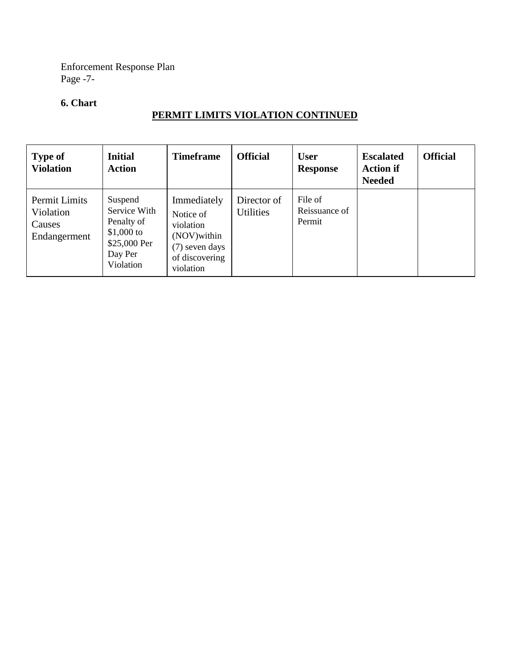Enforcement Response Plan Page -7-

## **6. Chart**

# **PERMIT LIMITS VIOLATION CONTINUED**

| <b>Type of</b><br><b>Violation</b>                   | <b>Initial</b><br><b>Action</b>                                                             | <b>Timeframe</b>                                                                                       | <b>Official</b>                 | <b>User</b><br><b>Response</b>     | <b>Escalated</b><br><b>Action if</b><br><b>Needed</b> | <b>Official</b> |
|------------------------------------------------------|---------------------------------------------------------------------------------------------|--------------------------------------------------------------------------------------------------------|---------------------------------|------------------------------------|-------------------------------------------------------|-----------------|
| Permit Limits<br>Violation<br>Causes<br>Endangerment | Suspend<br>Service With<br>Penalty of<br>\$1,000 to<br>\$25,000 Per<br>Day Per<br>Violation | Immediately<br>Notice of<br>violation<br>(NOV) within<br>(7) seven days<br>of discovering<br>violation | Director of<br><b>Utilities</b> | File of<br>Reissuance of<br>Permit |                                                       |                 |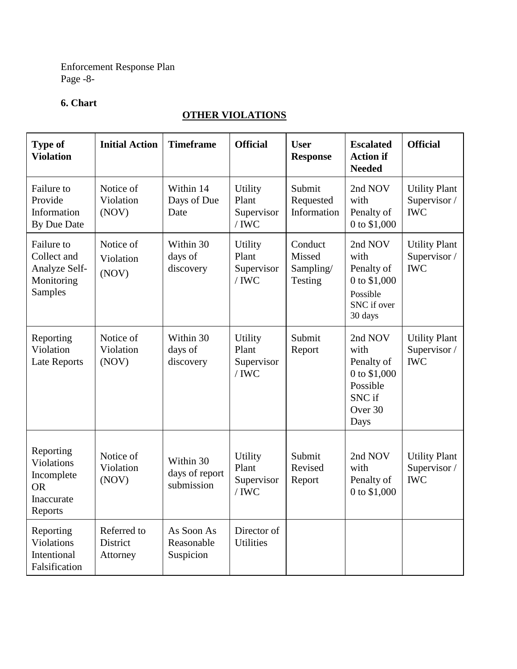Enforcement Response Plan Page -8-

# **6. Chart**

# **OTHER VIOLATIONS**

| <b>Type of</b><br><b>Violation</b>                                          | <b>Initial Action</b>               | <b>Timeframe</b>                          | <b>Official</b>                                  | <b>User</b><br><b>Response</b>            | <b>Escalated</b><br><b>Action if</b><br><b>Needed</b>                                  | <b>Official</b>                                    |
|-----------------------------------------------------------------------------|-------------------------------------|-------------------------------------------|--------------------------------------------------|-------------------------------------------|----------------------------------------------------------------------------------------|----------------------------------------------------|
| Failure to<br>Provide<br>Information<br>By Due Date                         | Notice of<br>Violation<br>(NOV)     | Within 14<br>Days of Due<br>Date          | <b>Utility</b><br>Plant<br>Supervisor<br>$/$ IWC | Submit<br>Requested<br>Information        | 2nd NOV<br>with<br>Penalty of<br>0 to \$1,000                                          | <b>Utility Plant</b><br>Supervisor /<br><b>IWC</b> |
| Failure to<br>Collect and<br>Analyze Self-<br>Monitoring<br>Samples         | Notice of<br>Violation<br>(NOV)     | Within 30<br>days of<br>discovery         | <b>Utility</b><br>Plant<br>Supervisor<br>$/$ IWC | Conduct<br>Missed<br>Sampling/<br>Testing | 2nd NOV<br>with<br>Penalty of<br>0 to \$1,000<br>Possible<br>SNC if over<br>30 days    | <b>Utility Plant</b><br>Supervisor /<br><b>IWC</b> |
| Reporting<br>Violation<br><b>Late Reports</b>                               | Notice of<br>Violation<br>(NOV)     | Within 30<br>days of<br>discovery         | <b>Utility</b><br>Plant<br>Supervisor<br>$/$ IWC | Submit<br>Report                          | 2nd NOV<br>with<br>Penalty of<br>0 to \$1,000<br>Possible<br>SNC if<br>Over 30<br>Days | <b>Utility Plant</b><br>Supervisor /<br><b>IWC</b> |
| Reporting<br>Violations<br>Incomplete<br><b>OR</b><br>Inaccurate<br>Reports | Notice of<br>Violation<br>(NOV)     | Within 30<br>days of report<br>submission | Utility<br>Plant<br>Supervisor<br>$/$ IWC        | Submit<br>Revised<br>Report               | 2nd NOV<br>with<br>Penalty of<br>0 to \$1,000                                          | <b>Utility Plant</b><br>Supervisor /<br><b>IWC</b> |
| Reporting<br>Violations<br>Intentional<br>Falsification                     | Referred to<br>District<br>Attorney | As Soon As<br>Reasonable<br>Suspicion     | Director of<br><b>Utilities</b>                  |                                           |                                                                                        |                                                    |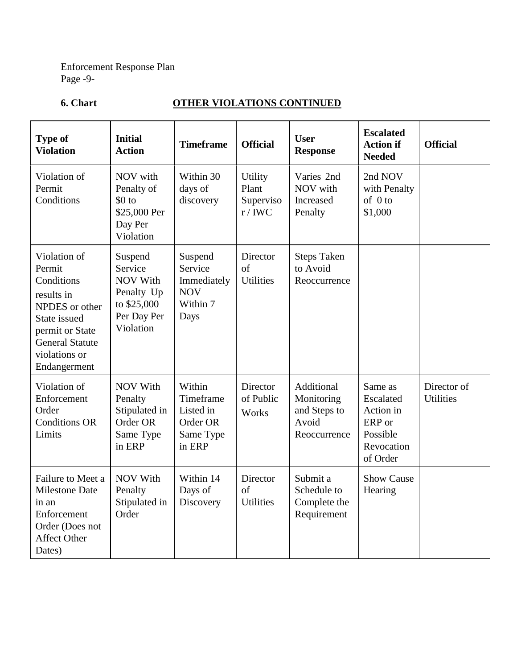Enforcement Response Plan Page -9-

# **6. Chart COLLEGER VIOLATIONS CONTINUED**

| <b>Type of</b><br><b>Violation</b>                                                                                                                                 | <b>Initial</b><br><b>Action</b>                                                                | <b>Timeframe</b>                                                    | <b>Official</b>                                  | <b>User</b><br><b>Response</b>                                    | <b>Escalated</b><br><b>Action if</b><br><b>Needed</b>                             | <b>Official</b>                 |
|--------------------------------------------------------------------------------------------------------------------------------------------------------------------|------------------------------------------------------------------------------------------------|---------------------------------------------------------------------|--------------------------------------------------|-------------------------------------------------------------------|-----------------------------------------------------------------------------------|---------------------------------|
| Violation of<br>Permit<br>Conditions                                                                                                                               | NOV with<br>Penalty of<br>$$0$ to<br>\$25,000 Per<br>Day Per<br>Violation                      | Within 30<br>days of<br>discovery                                   | <b>Utility</b><br>Plant<br>Superviso<br>$r/$ IWC | Varies 2nd<br>NOV with<br>Increased<br>Penalty                    | 2nd NOV<br>with Penalty<br>of 0 to<br>\$1,000                                     |                                 |
| Violation of<br>Permit<br>Conditions<br>results in<br>NPDES or other<br>State issued<br>permit or State<br><b>General Statute</b><br>violations or<br>Endangerment | Suspend<br>Service<br><b>NOV With</b><br>Penalty Up<br>to \$25,000<br>Per Day Per<br>Violation | Suspend<br>Service<br>Immediately<br><b>NOV</b><br>Within 7<br>Days | Director<br>of<br><b>Utilities</b>               | <b>Steps Taken</b><br>to Avoid<br>Reoccurrence                    |                                                                                   |                                 |
| Violation of<br>Enforcement<br>Order<br><b>Conditions OR</b><br>Limits                                                                                             | <b>NOV With</b><br>Penalty<br>Stipulated in<br>Order OR<br>Same Type<br>in ERP                 | Within<br>Timeframe<br>Listed in<br>Order OR<br>Same Type<br>in ERP | Director<br>of Public<br>Works                   | Additional<br>Monitoring<br>and Steps to<br>Avoid<br>Reoccurrence | Same as<br>Escalated<br>Action in<br>ERP or<br>Possible<br>Revocation<br>of Order | Director of<br><b>Utilities</b> |
| Failure to Meet a<br><b>Milestone Date</b><br>in an<br>Enforcement<br>Order (Does not<br><b>Affect Other</b><br>Dates)                                             | <b>NOV With</b><br>Penalty<br>Stipulated in<br>Order                                           | Within 14<br>Days of<br>Discovery                                   | Director<br>of<br><b>Utilities</b>               | Submit a<br>Schedule to<br>Complete the<br>Requirement            | <b>Show Cause</b><br>Hearing                                                      |                                 |